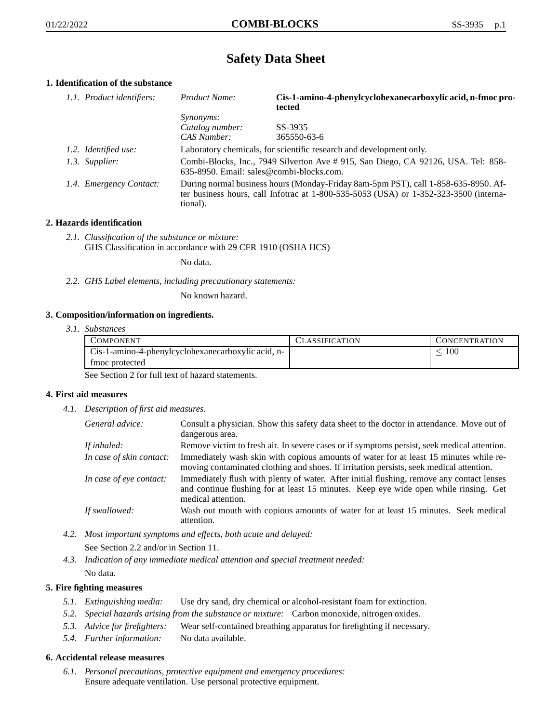# **Safety Data Sheet**

# **1. Identification of the substance**

| 1.1. Product identifiers: | Product Name:                                                                                                                                                                           | Cis-1-amino-4-phenylcyclohexanecarboxylic acid, n-fmoc pro-<br>tected |
|---------------------------|-----------------------------------------------------------------------------------------------------------------------------------------------------------------------------------------|-----------------------------------------------------------------------|
|                           | Synonyms:                                                                                                                                                                               |                                                                       |
|                           | Catalog number:                                                                                                                                                                         | SS-3935                                                               |
|                           | CAS Number:                                                                                                                                                                             | 365550-63-6                                                           |
| 1.2. Identified use:      | Laboratory chemicals, for scientific research and development only.                                                                                                                     |                                                                       |
| 1.3. Supplier:            | Combi-Blocks, Inc., 7949 Silverton Ave #915, San Diego, CA 92126, USA. Tel: 858-<br>$635-8950$ . Email: sales@combi-blocks.com.                                                         |                                                                       |
| 1.4. Emergency Contact:   | During normal business hours (Monday-Friday 8am-5pm PST), call 1-858-635-8950. Af-<br>ter business hours, call Infotrac at 1-800-535-5053 (USA) or 1-352-323-3500 (interna-<br>tional). |                                                                       |

# **2. Hazards identification**

*2.1. Classification of the substance or mixture:* GHS Classification in accordance with 29 CFR 1910 (OSHA HCS)

No data.

*2.2. GHS Label elements, including precautionary statements:*

No known hazard.

## **3. Composition/information on ingredients.**

*3.1. Substances*

| COMPONENT                                          | CLASSIFICATION | <b>CONCENTRATION</b> |
|----------------------------------------------------|----------------|----------------------|
| Cis-1-amino-4-phenylcyclohexanecarboxylic acid, n- |                | 100                  |
| tmoc protected                                     |                |                      |

See Section 2 for full text of hazard statements.

## **4. First aid measures**

*4.1. Description of first aid measures.*

| General advice:          | Consult a physician. Show this safety data sheet to the doctor in attendance. Move out of<br>dangerous area.                                                                                            |
|--------------------------|---------------------------------------------------------------------------------------------------------------------------------------------------------------------------------------------------------|
| If inhaled:              | Remove victim to fresh air. In severe cases or if symptoms persist, seek medical attention.                                                                                                             |
| In case of skin contact: | Immediately wash skin with copious amounts of water for at least 15 minutes while re-<br>moving contaminated clothing and shoes. If irritation persists, seek medical attention.                        |
| In case of eye contact:  | Immediately flush with plenty of water. After initial flushing, remove any contact lenses<br>and continue flushing for at least 15 minutes. Keep eye wide open while rinsing. Get<br>medical attention. |
| If swallowed:            | Wash out mouth with copious amounts of water for at least 15 minutes. Seek medical<br>attention.                                                                                                        |

- *4.2. Most important symptoms and effects, both acute and delayed:* See Section 2.2 and/or in Section 11.
- *4.3. Indication of any immediate medical attention and special treatment needed:* No data.

## **5. Fire fighting measures**

- *5.1. Extinguishing media:* Use dry sand, dry chemical or alcohol-resistant foam for extinction.
- *5.2. Special hazards arising from the substance or mixture:* Carbon monoxide, nitrogen oxides.
- *5.3. Advice for firefighters:* Wear self-contained breathing apparatus for firefighting if necessary.
- *5.4. Further information:* No data available.

## **6. Accidental release measures**

*6.1. Personal precautions, protective equipment and emergency procedures:* Ensure adequate ventilation. Use personal protective equipment.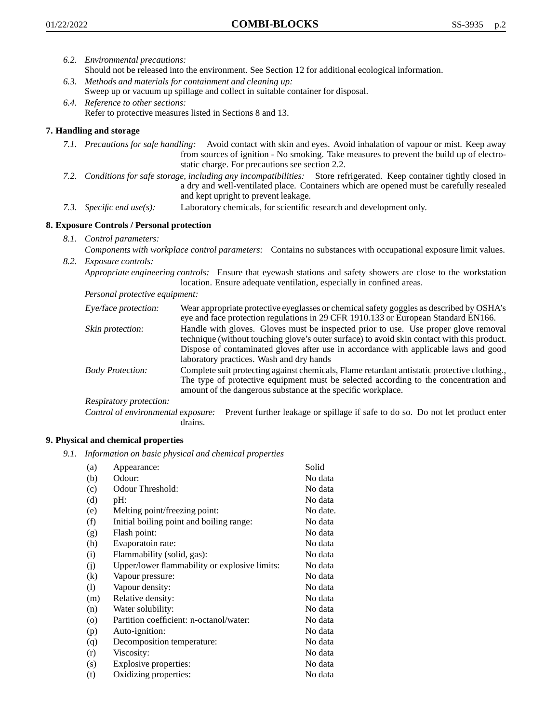- *6.2. Environmental precautions:*
	- Should not be released into the environment. See Section 12 for additional ecological information.
- *6.3. Methods and materials for containment and cleaning up:* Sweep up or vacuum up spillage and collect in suitable container for disposal.
- *6.4. Reference to other sections:* Refer to protective measures listed in Sections 8 and 13.

# **7. Handling and storage**

- *7.1. Precautions for safe handling:* Avoid contact with skin and eyes. Avoid inhalation of vapour or mist. Keep away from sources of ignition - No smoking. Take measures to prevent the build up of electrostatic charge. For precautions see section 2.2.
- *7.2. Conditions for safe storage, including any incompatibilities:* Store refrigerated. Keep container tightly closed in a dry and well-ventilated place. Containers which are opened must be carefully resealed and kept upright to prevent leakage.
- *7.3. Specific end use(s):* Laboratory chemicals, for scientific research and development only.

## **8. Exposure Controls / Personal protection**

- *8.1. Control parameters:*
- *Components with workplace control parameters:* Contains no substances with occupational exposure limit values. *8.2. Exposure controls:*

*Appropriate engineering controls:* Ensure that eyewash stations and safety showers are close to the workstation location. Ensure adequate ventilation, especially in confined areas.

*Personal protective equipment:*

| Eye/face protection:    | Wear appropriate protective eyeglasses or chemical safety goggles as described by OSHA's<br>eye and face protection regulations in 29 CFR 1910.133 or European Standard EN166.                                                                                                                                         |
|-------------------------|------------------------------------------------------------------------------------------------------------------------------------------------------------------------------------------------------------------------------------------------------------------------------------------------------------------------|
| Skin protection:        | Handle with gloves. Gloves must be inspected prior to use. Use proper glove removal<br>technique (without touching glove's outer surface) to avoid skin contact with this product.<br>Dispose of contaminated gloves after use in accordance with applicable laws and good<br>laboratory practices. Wash and dry hands |
| <b>Body Protection:</b> | Complete suit protecting against chemicals, Flame retardant antistatic protective clothing.,<br>The type of protective equipment must be selected according to the concentration and<br>amount of the dangerous substance at the specific workplace.                                                                   |
| Respiratory protection: |                                                                                                                                                                                                                                                                                                                        |

Control of environmental exposure: Prevent further leakage or spillage if safe to do so. Do not let product enter drains.

## **9. Physical and chemical properties**

*9.1. Information on basic physical and chemical properties*

| (a)     | Appearance:                                   | Solid    |
|---------|-----------------------------------------------|----------|
| (b)     | Odour:                                        | No data  |
| (c)     | Odour Threshold:                              | No data  |
| (d)     | pH:                                           | No data  |
| (e)     | Melting point/freezing point:                 | No date. |
| (f)     | Initial boiling point and boiling range:      | No data  |
| (g)     | Flash point:                                  | No data  |
| (h)     | Evaporatoin rate:                             | No data  |
| (i)     | Flammability (solid, gas):                    | No data  |
| (j)     | Upper/lower flammability or explosive limits: | No data  |
| (k)     | Vapour pressure:                              | No data  |
| (1)     | Vapour density:                               | No data  |
| (m)     | Relative density:                             | No data  |
| (n)     | Water solubility:                             | No data  |
| $\circ$ | Partition coefficient: n-octanol/water:       | No data  |
| (p)     | Auto-ignition:                                | No data  |
| (q)     | Decomposition temperature:                    | No data  |
| (r)     | Viscosity:                                    | No data  |
| (s)     | Explosive properties:                         | No data  |
| (t)     | Oxidizing properties:                         | No data  |